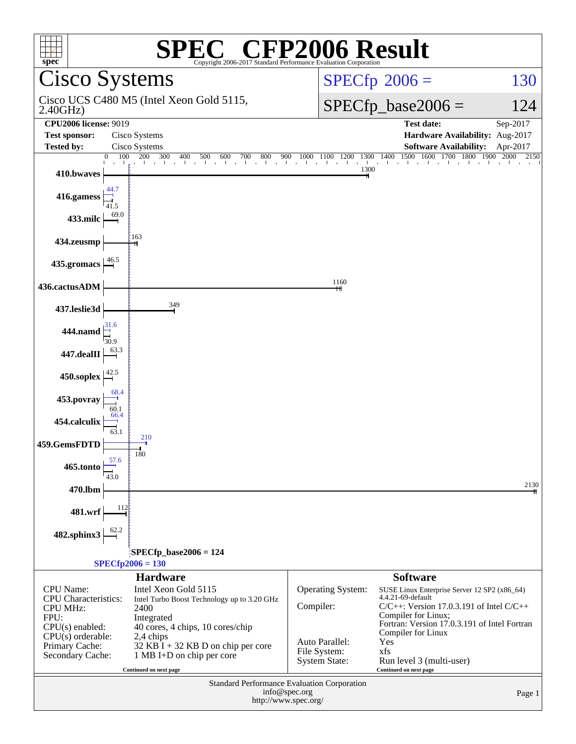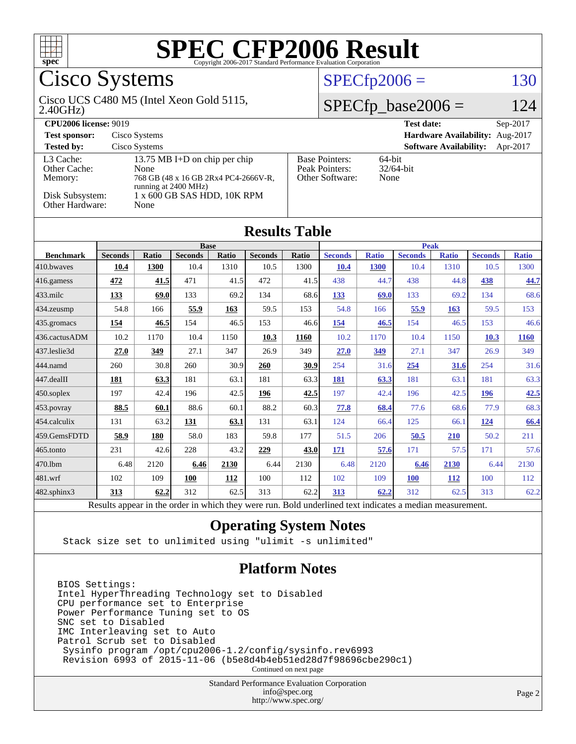

# Cisco Systems

#### 2.40GHz) Cisco UCS C480 M5 (Intel Xeon Gold 5115,

 $SPECfp2006 = 130$  $SPECfp2006 = 130$ 

### $SPECfp\_base2006 = 124$

| <b>CPU2006 license: 9019</b>         |                                                                                                       |                                                            | <b>Test date:</b><br>$Sep-2017$           |
|--------------------------------------|-------------------------------------------------------------------------------------------------------|------------------------------------------------------------|-------------------------------------------|
| <b>Test sponsor:</b>                 | Cisco Systems                                                                                         |                                                            | Hardware Availability: Aug-2017           |
| <b>Tested by:</b>                    | Cisco Systems                                                                                         |                                                            | <b>Software Availability:</b><br>Apr-2017 |
| L3 Cache:<br>Other Cache:<br>Memory: | 13.75 MB I+D on chip per chip<br>None<br>768 GB (48 x 16 GB 2Rx4 PC4-2666V-R,<br>running at 2400 MHz) | <b>Base Pointers:</b><br>Peak Pointers:<br>Other Software: | 64-bit<br>$32/64$ -bit<br>None            |
| Disk Subsystem:<br>Other Hardware:   | 1 x 600 GB SAS HDD, 10K RPM<br>None                                                                   |                                                            |                                           |

**[Results Table](http://www.spec.org/auto/cpu2006/Docs/result-fields.html#ResultsTable)**

| <b>Seconds</b><br>10.4 | <b>Ratio</b><br>1300 | <b>Base</b><br><b>Seconds</b> | Ratio |                |              |                |              |                |              |                                                                                                        |              |
|------------------------|----------------------|-------------------------------|-------|----------------|--------------|----------------|--------------|----------------|--------------|--------------------------------------------------------------------------------------------------------|--------------|
|                        |                      |                               |       |                |              | <b>Peak</b>    |              |                |              |                                                                                                        |              |
|                        |                      |                               |       | <b>Seconds</b> | <b>Ratio</b> | <b>Seconds</b> | <b>Ratio</b> | <b>Seconds</b> | <b>Ratio</b> | <b>Seconds</b>                                                                                         | <b>Ratio</b> |
|                        |                      | 10.4                          | 1310  | 10.5           | 1300         | 10.4           | <b>1300</b>  | 10.4           | 1310         | 10.5                                                                                                   | 1300         |
| 472                    | 41.5                 | 471                           | 41.5  | 472            | 41.5         | 438            | 44.7         | 438            | 44.8         | 438                                                                                                    | 44.7         |
| 133                    | 69.0                 | 133                           | 69.2  | 134            | 68.6         | 133            | 69.0         | 133            | 69.2         | 134                                                                                                    | 68.6         |
| 54.8                   | 166                  | 55.9                          | 163   | 59.5           | 153          | 54.8           | 166          | 55.9           | 163          | 59.5                                                                                                   | 153          |
| 154                    | 46.5                 | 154                           | 46.5  | 153            | 46.6         | 154            | 46.5         | 154            | 46.5         | 153                                                                                                    | 46.6         |
| 10.2                   | 1170                 | 10.4                          | 1150  | 10.3           | 1160         | 10.2           | 1170         | 10.4           | 1150         | 10.3                                                                                                   | 1160         |
| 27.0                   | 349                  | 27.1                          | 347   | 26.9           | 349          | 27.0           | 349          | 27.1           | 347          | 26.9                                                                                                   | 349          |
| 260                    | 30.8                 | 260                           | 30.9  | 260            | 30.9         | 254            | 31.6         | 254            | 31.6         | 254                                                                                                    | 31.6         |
| 181                    | 63.3                 | 181                           | 63.1  | 181            | 63.3         | 181            | 63.3         | 181            | 63.1         | 181                                                                                                    | 63.3         |
| 197                    | 42.4                 | 196                           | 42.5  | 196            | 42.5         | 197            | 42.4         | 196            | 42.5         | 196                                                                                                    | 42.5         |
| 88.5                   | 60.1                 | 88.6                          | 60.1  | 88.2           | 60.3         | 77.8           | 68.4         | 77.6           | 68.6         | 77.9                                                                                                   | 68.3         |
| 131                    | 63.2                 | 131                           | 63.1  | 131            | 63.1         | 124            | 66.4         | 125            | 66.1         | 124                                                                                                    | 66.4         |
| 58.9                   | 180                  | 58.0                          | 183   | 59.8           | 177          | 51.5           | 206          | 50.5           | <b>210</b>   | 50.2                                                                                                   | 211          |
| 231                    | 42.6                 | 228                           | 43.2  | 229            | 43.0         | 171            | 57.6         | 171            | 57.5         | 171                                                                                                    | 57.6         |
| 6.48                   | 2120                 | 6.46                          | 2130  | 6.44           | 2130         | 6.48           | 2120         | 6.46           | 2130         | 6.44                                                                                                   | 2130         |
| 102                    | 109                  | 100                           | 112   | 100            | 112          | 102            | 109          | <b>100</b>     | <b>112</b>   | 100                                                                                                    | 112          |
| 313                    | 62.2                 | 312                           | 62.5  | 313            | 62.2         | 313            | 62.2         | 312            | 62.5         | 313                                                                                                    | 62.2         |
|                        |                      |                               |       |                |              |                |              |                |              | Decute ennear in the order in which thou were run. Pold underlined tout indicates a modian measurement |              |

Results appear in the [order in which they were run.](http://www.spec.org/auto/cpu2006/Docs/result-fields.html#RunOrder) Bold underlined text [indicates a median measurement.](http://www.spec.org/auto/cpu2006/Docs/result-fields.html#Median)

### **[Operating System Notes](http://www.spec.org/auto/cpu2006/Docs/result-fields.html#OperatingSystemNotes)**

Stack size set to unlimited using "ulimit -s unlimited"

### **[Platform Notes](http://www.spec.org/auto/cpu2006/Docs/result-fields.html#PlatformNotes)**

BIOS Settings: Intel HyperThreading Technology set to Disabled CPU performance set to Enterprise Power Performance Tuning set to OS SNC set to Disabled IMC Interleaving set to Auto Patrol Scrub set to Disabled Sysinfo program /opt/cpu2006-1.2/config/sysinfo.rev6993 Revision 6993 of 2015-11-06 (b5e8d4b4eb51ed28d7f98696cbe290c1)

Continued on next page

Standard Performance Evaluation Corporation [info@spec.org](mailto:info@spec.org) <http://www.spec.org/>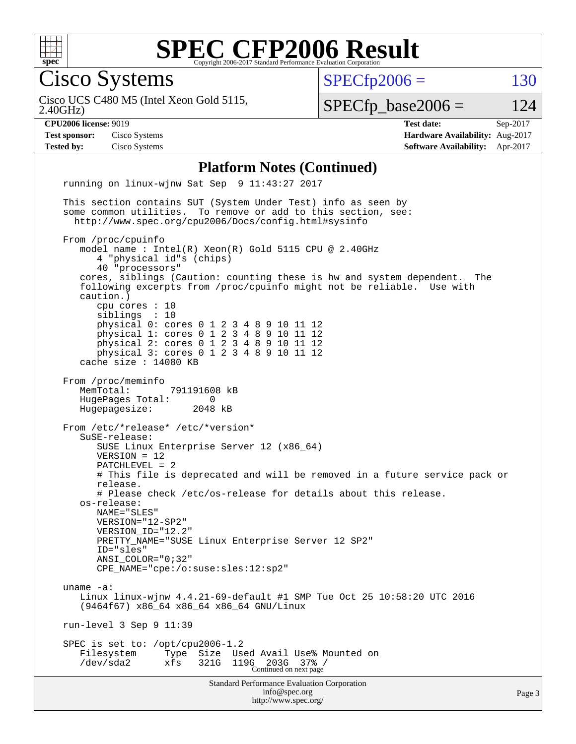

Cisco Systems

 $SPECTp2006 = 130$ 

2.40GHz) Cisco UCS C480 M5 (Intel Xeon Gold 5115,  $SPECfp\_base2006 = 124$ 

**[CPU2006 license:](http://www.spec.org/auto/cpu2006/Docs/result-fields.html#CPU2006license)** 9019 **[Test date:](http://www.spec.org/auto/cpu2006/Docs/result-fields.html#Testdate)** Sep-2017 **[Test sponsor:](http://www.spec.org/auto/cpu2006/Docs/result-fields.html#Testsponsor)** Cisco Systems **[Hardware Availability:](http://www.spec.org/auto/cpu2006/Docs/result-fields.html#HardwareAvailability)** Aug-2017 **[Tested by:](http://www.spec.org/auto/cpu2006/Docs/result-fields.html#Testedby)** Cisco Systems **[Software Availability:](http://www.spec.org/auto/cpu2006/Docs/result-fields.html#SoftwareAvailability)** Apr-2017

#### **[Platform Notes \(Continued\)](http://www.spec.org/auto/cpu2006/Docs/result-fields.html#PlatformNotes)**

Standard Performance Evaluation Corporation [info@spec.org](mailto:info@spec.org) <http://www.spec.org/> running on linux-wjnw Sat Sep 9 11:43:27 2017 This section contains SUT (System Under Test) info as seen by some common utilities. To remove or add to this section, see: <http://www.spec.org/cpu2006/Docs/config.html#sysinfo> From /proc/cpuinfo model name : Intel(R) Xeon(R) Gold 5115 CPU @ 2.40GHz 4 "physical id"s (chips) 40 "processors" cores, siblings (Caution: counting these is hw and system dependent. The following excerpts from /proc/cpuinfo might not be reliable. Use with caution.) cpu cores : 10 siblings : 10 physical 0: cores 0 1 2 3 4 8 9 10 11 12 physical 1: cores 0 1 2 3 4 8 9 10 11 12 physical 2: cores 0 1 2 3 4 8 9 10 11 12 physical 3: cores 0 1 2 3 4 8 9 10 11 12 cache size : 14080 KB From /proc/meminfo MemTotal: 791191608 kB HugePages\_Total: 0 Hugepagesize: 2048 kB From /etc/\*release\* /etc/\*version\* SuSE-release: SUSE Linux Enterprise Server 12 (x86\_64) VERSION = 12 PATCHLEVEL = 2 # This file is deprecated and will be removed in a future service pack or release. # Please check /etc/os-release for details about this release. os-release: NAME="SLES" VERSION="12-SP2" VERSION\_ID="12.2" PRETTY\_NAME="SUSE Linux Enterprise Server 12 SP2" ID="sles" ANSI\_COLOR="0;32" CPE\_NAME="cpe:/o:suse:sles:12:sp2" uname -a: Linux linux-wjnw 4.4.21-69-default #1 SMP Tue Oct 25 10:58:20 UTC 2016 (9464f67) x86\_64 x86\_64 x86\_64 GNU/Linux run-level 3 Sep 9 11:39 SPEC is set to: /opt/cpu2006-1.2 Filesystem Type Size Used Avail Use% Mounted on /dev/sda2 xfs 321G 119G 203G 37% / Continued on next page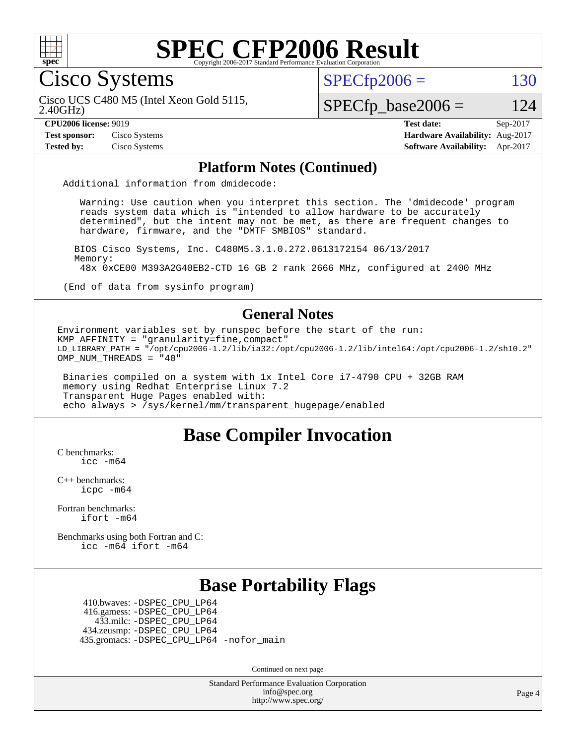

Cisco Systems

 $SPECTp2006 = 130$ 

2.40GHz) Cisco UCS C480 M5 (Intel Xeon Gold 5115,

### $SPECfp\_base2006 = 124$

**[Test sponsor:](http://www.spec.org/auto/cpu2006/Docs/result-fields.html#Testsponsor)** Cisco Systems **[Hardware Availability:](http://www.spec.org/auto/cpu2006/Docs/result-fields.html#HardwareAvailability)** Aug-2017

**[CPU2006 license:](http://www.spec.org/auto/cpu2006/Docs/result-fields.html#CPU2006license)** 9019 **[Test date:](http://www.spec.org/auto/cpu2006/Docs/result-fields.html#Testdate)** Sep-2017 **[Tested by:](http://www.spec.org/auto/cpu2006/Docs/result-fields.html#Testedby)** Cisco Systems **[Software Availability:](http://www.spec.org/auto/cpu2006/Docs/result-fields.html#SoftwareAvailability)** Apr-2017

#### **[Platform Notes \(Continued\)](http://www.spec.org/auto/cpu2006/Docs/result-fields.html#PlatformNotes)**

Additional information from dmidecode:

 Warning: Use caution when you interpret this section. The 'dmidecode' program reads system data which is "intended to allow hardware to be accurately determined", but the intent may not be met, as there are frequent changes to hardware, firmware, and the "DMTF SMBIOS" standard.

 BIOS Cisco Systems, Inc. C480M5.3.1.0.272.0613172154 06/13/2017 Memory: 48x 0xCE00 M393A2G40EB2-CTD 16 GB 2 rank 2666 MHz, configured at 2400 MHz

(End of data from sysinfo program)

#### **[General Notes](http://www.spec.org/auto/cpu2006/Docs/result-fields.html#GeneralNotes)**

Environment variables set by runspec before the start of the run: KMP AFFINITY = "granularity=fine,  $compact$ " LD\_LIBRARY\_PATH = "/opt/cpu2006-1.2/lib/ia32:/opt/cpu2006-1.2/lib/intel64:/opt/cpu2006-1.2/sh10.2" OMP NUM THREADS = "40"

 Binaries compiled on a system with 1x Intel Core i7-4790 CPU + 32GB RAM memory using Redhat Enterprise Linux 7.2 Transparent Huge Pages enabled with: echo always > /sys/kernel/mm/transparent\_hugepage/enabled

### **[Base Compiler Invocation](http://www.spec.org/auto/cpu2006/Docs/result-fields.html#BaseCompilerInvocation)**

[C benchmarks](http://www.spec.org/auto/cpu2006/Docs/result-fields.html#Cbenchmarks): [icc -m64](http://www.spec.org/cpu2006/results/res2017q4/cpu2006-20170919-50170.flags.html#user_CCbase_intel_icc_64bit_bda6cc9af1fdbb0edc3795bac97ada53)

[C++ benchmarks:](http://www.spec.org/auto/cpu2006/Docs/result-fields.html#CXXbenchmarks) [icpc -m64](http://www.spec.org/cpu2006/results/res2017q4/cpu2006-20170919-50170.flags.html#user_CXXbase_intel_icpc_64bit_fc66a5337ce925472a5c54ad6a0de310)

[Fortran benchmarks](http://www.spec.org/auto/cpu2006/Docs/result-fields.html#Fortranbenchmarks): [ifort -m64](http://www.spec.org/cpu2006/results/res2017q4/cpu2006-20170919-50170.flags.html#user_FCbase_intel_ifort_64bit_ee9d0fb25645d0210d97eb0527dcc06e)

[Benchmarks using both Fortran and C](http://www.spec.org/auto/cpu2006/Docs/result-fields.html#BenchmarksusingbothFortranandC): [icc -m64](http://www.spec.org/cpu2006/results/res2017q4/cpu2006-20170919-50170.flags.html#user_CC_FCbase_intel_icc_64bit_bda6cc9af1fdbb0edc3795bac97ada53) [ifort -m64](http://www.spec.org/cpu2006/results/res2017q4/cpu2006-20170919-50170.flags.html#user_CC_FCbase_intel_ifort_64bit_ee9d0fb25645d0210d97eb0527dcc06e)

### **[Base Portability Flags](http://www.spec.org/auto/cpu2006/Docs/result-fields.html#BasePortabilityFlags)**

 410.bwaves: [-DSPEC\\_CPU\\_LP64](http://www.spec.org/cpu2006/results/res2017q4/cpu2006-20170919-50170.flags.html#suite_basePORTABILITY410_bwaves_DSPEC_CPU_LP64) 416.gamess: [-DSPEC\\_CPU\\_LP64](http://www.spec.org/cpu2006/results/res2017q4/cpu2006-20170919-50170.flags.html#suite_basePORTABILITY416_gamess_DSPEC_CPU_LP64) 433.milc: [-DSPEC\\_CPU\\_LP64](http://www.spec.org/cpu2006/results/res2017q4/cpu2006-20170919-50170.flags.html#suite_basePORTABILITY433_milc_DSPEC_CPU_LP64) 434.zeusmp: [-DSPEC\\_CPU\\_LP64](http://www.spec.org/cpu2006/results/res2017q4/cpu2006-20170919-50170.flags.html#suite_basePORTABILITY434_zeusmp_DSPEC_CPU_LP64) 435.gromacs: [-DSPEC\\_CPU\\_LP64](http://www.spec.org/cpu2006/results/res2017q4/cpu2006-20170919-50170.flags.html#suite_basePORTABILITY435_gromacs_DSPEC_CPU_LP64) [-nofor\\_main](http://www.spec.org/cpu2006/results/res2017q4/cpu2006-20170919-50170.flags.html#user_baseLDPORTABILITY435_gromacs_f-nofor_main)

Continued on next page

Standard Performance Evaluation Corporation [info@spec.org](mailto:info@spec.org) <http://www.spec.org/>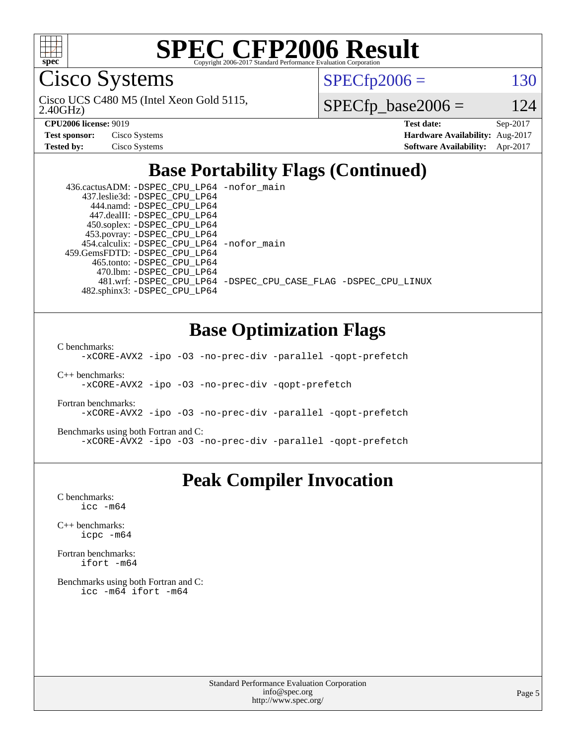

Cisco Systems

 $SPECTp2006 = 130$ 

2.40GHz) Cisco UCS C480 M5 (Intel Xeon Gold 5115,

 $SPECfp\_base2006 = 124$ 

| <b>Test sponsor:</b> | Cisco Systems |
|----------------------|---------------|
| <b>Tested by:</b>    | Cisco Systems |

**[CPU2006 license:](http://www.spec.org/auto/cpu2006/Docs/result-fields.html#CPU2006license)** 9019 **[Test date:](http://www.spec.org/auto/cpu2006/Docs/result-fields.html#Testdate)** Sep-2017 **[Hardware Availability:](http://www.spec.org/auto/cpu2006/Docs/result-fields.html#HardwareAvailability)** Aug-2017 **[Software Availability:](http://www.spec.org/auto/cpu2006/Docs/result-fields.html#SoftwareAvailability)** Apr-2017

# **[Base Portability Flags \(Continued\)](http://www.spec.org/auto/cpu2006/Docs/result-fields.html#BasePortabilityFlags)**

| 436.cactusADM: - DSPEC CPU LP64 - nofor main |                                                                |
|----------------------------------------------|----------------------------------------------------------------|
| 437.leslie3d: -DSPEC CPU LP64                |                                                                |
| 444.namd: - DSPEC CPU LP64                   |                                                                |
| 447.dealII: -DSPEC_CPU LP64                  |                                                                |
| 450.soplex: -DSPEC_CPU_LP64                  |                                                                |
| 453.povray: -DSPEC_CPU_LP64                  |                                                                |
| 454.calculix: - DSPEC CPU LP64 - nofor main  |                                                                |
| 459. GemsFDTD: - DSPEC CPU LP64              |                                                                |
| 465.tonto: -DSPEC CPU LP64                   |                                                                |
| 470.1bm: - DSPEC CPU LP64                    |                                                                |
|                                              | 481.wrf: -DSPEC CPU_LP64 -DSPEC_CPU_CASE_FLAG -DSPEC_CPU_LINUX |
| 482.sphinx3: -DSPEC CPU LP64                 |                                                                |

## **[Base Optimization Flags](http://www.spec.org/auto/cpu2006/Docs/result-fields.html#BaseOptimizationFlags)**

[C benchmarks](http://www.spec.org/auto/cpu2006/Docs/result-fields.html#Cbenchmarks):

[-xCORE-AVX2](http://www.spec.org/cpu2006/results/res2017q4/cpu2006-20170919-50170.flags.html#user_CCbase_f-xCORE-AVX2) [-ipo](http://www.spec.org/cpu2006/results/res2017q4/cpu2006-20170919-50170.flags.html#user_CCbase_f-ipo) [-O3](http://www.spec.org/cpu2006/results/res2017q4/cpu2006-20170919-50170.flags.html#user_CCbase_f-O3) [-no-prec-div](http://www.spec.org/cpu2006/results/res2017q4/cpu2006-20170919-50170.flags.html#user_CCbase_f-no-prec-div) [-parallel](http://www.spec.org/cpu2006/results/res2017q4/cpu2006-20170919-50170.flags.html#user_CCbase_f-parallel) [-qopt-prefetch](http://www.spec.org/cpu2006/results/res2017q4/cpu2006-20170919-50170.flags.html#user_CCbase_f-qopt-prefetch)

[C++ benchmarks:](http://www.spec.org/auto/cpu2006/Docs/result-fields.html#CXXbenchmarks) [-xCORE-AVX2](http://www.spec.org/cpu2006/results/res2017q4/cpu2006-20170919-50170.flags.html#user_CXXbase_f-xCORE-AVX2) [-ipo](http://www.spec.org/cpu2006/results/res2017q4/cpu2006-20170919-50170.flags.html#user_CXXbase_f-ipo) [-O3](http://www.spec.org/cpu2006/results/res2017q4/cpu2006-20170919-50170.flags.html#user_CXXbase_f-O3) [-no-prec-div](http://www.spec.org/cpu2006/results/res2017q4/cpu2006-20170919-50170.flags.html#user_CXXbase_f-no-prec-div) [-qopt-prefetch](http://www.spec.org/cpu2006/results/res2017q4/cpu2006-20170919-50170.flags.html#user_CXXbase_f-qopt-prefetch)

[Fortran benchmarks](http://www.spec.org/auto/cpu2006/Docs/result-fields.html#Fortranbenchmarks): [-xCORE-AVX2](http://www.spec.org/cpu2006/results/res2017q4/cpu2006-20170919-50170.flags.html#user_FCbase_f-xCORE-AVX2) [-ipo](http://www.spec.org/cpu2006/results/res2017q4/cpu2006-20170919-50170.flags.html#user_FCbase_f-ipo) [-O3](http://www.spec.org/cpu2006/results/res2017q4/cpu2006-20170919-50170.flags.html#user_FCbase_f-O3) [-no-prec-div](http://www.spec.org/cpu2006/results/res2017q4/cpu2006-20170919-50170.flags.html#user_FCbase_f-no-prec-div) [-parallel](http://www.spec.org/cpu2006/results/res2017q4/cpu2006-20170919-50170.flags.html#user_FCbase_f-parallel) [-qopt-prefetch](http://www.spec.org/cpu2006/results/res2017q4/cpu2006-20170919-50170.flags.html#user_FCbase_f-qopt-prefetch)

[Benchmarks using both Fortran and C](http://www.spec.org/auto/cpu2006/Docs/result-fields.html#BenchmarksusingbothFortranandC): [-xCORE-AVX2](http://www.spec.org/cpu2006/results/res2017q4/cpu2006-20170919-50170.flags.html#user_CC_FCbase_f-xCORE-AVX2) [-ipo](http://www.spec.org/cpu2006/results/res2017q4/cpu2006-20170919-50170.flags.html#user_CC_FCbase_f-ipo) [-O3](http://www.spec.org/cpu2006/results/res2017q4/cpu2006-20170919-50170.flags.html#user_CC_FCbase_f-O3) [-no-prec-div](http://www.spec.org/cpu2006/results/res2017q4/cpu2006-20170919-50170.flags.html#user_CC_FCbase_f-no-prec-div) [-parallel](http://www.spec.org/cpu2006/results/res2017q4/cpu2006-20170919-50170.flags.html#user_CC_FCbase_f-parallel) [-qopt-prefetch](http://www.spec.org/cpu2006/results/res2017q4/cpu2006-20170919-50170.flags.html#user_CC_FCbase_f-qopt-prefetch)

## **[Peak Compiler Invocation](http://www.spec.org/auto/cpu2006/Docs/result-fields.html#PeakCompilerInvocation)**

[C benchmarks](http://www.spec.org/auto/cpu2006/Docs/result-fields.html#Cbenchmarks): [icc -m64](http://www.spec.org/cpu2006/results/res2017q4/cpu2006-20170919-50170.flags.html#user_CCpeak_intel_icc_64bit_bda6cc9af1fdbb0edc3795bac97ada53)

[C++ benchmarks:](http://www.spec.org/auto/cpu2006/Docs/result-fields.html#CXXbenchmarks) [icpc -m64](http://www.spec.org/cpu2006/results/res2017q4/cpu2006-20170919-50170.flags.html#user_CXXpeak_intel_icpc_64bit_fc66a5337ce925472a5c54ad6a0de310)

[Fortran benchmarks](http://www.spec.org/auto/cpu2006/Docs/result-fields.html#Fortranbenchmarks): [ifort -m64](http://www.spec.org/cpu2006/results/res2017q4/cpu2006-20170919-50170.flags.html#user_FCpeak_intel_ifort_64bit_ee9d0fb25645d0210d97eb0527dcc06e)

[Benchmarks using both Fortran and C](http://www.spec.org/auto/cpu2006/Docs/result-fields.html#BenchmarksusingbothFortranandC): [icc -m64](http://www.spec.org/cpu2006/results/res2017q4/cpu2006-20170919-50170.flags.html#user_CC_FCpeak_intel_icc_64bit_bda6cc9af1fdbb0edc3795bac97ada53) [ifort -m64](http://www.spec.org/cpu2006/results/res2017q4/cpu2006-20170919-50170.flags.html#user_CC_FCpeak_intel_ifort_64bit_ee9d0fb25645d0210d97eb0527dcc06e)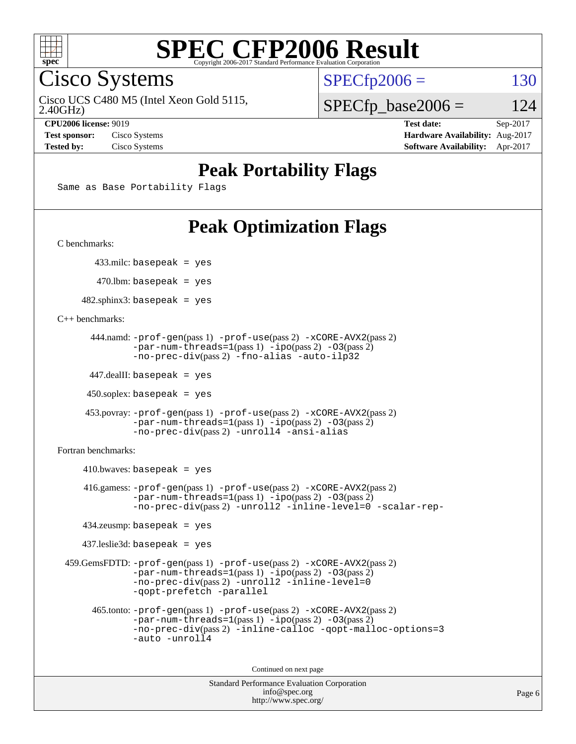

Cisco Systems

Cisco UCS C480 M5 (Intel Xeon Gold 5115,

 $SPECTp2006 = 130$ 

2.40GHz)

 $SPECfp\_base2006 = 124$ 

**[Test sponsor:](http://www.spec.org/auto/cpu2006/Docs/result-fields.html#Testsponsor)** Cisco Systems **[Hardware Availability:](http://www.spec.org/auto/cpu2006/Docs/result-fields.html#HardwareAvailability)** Aug-2017

**[CPU2006 license:](http://www.spec.org/auto/cpu2006/Docs/result-fields.html#CPU2006license)** 9019 **[Test date:](http://www.spec.org/auto/cpu2006/Docs/result-fields.html#Testdate)** Sep-2017 **[Tested by:](http://www.spec.org/auto/cpu2006/Docs/result-fields.html#Testedby)** Cisco Systems **[Software Availability:](http://www.spec.org/auto/cpu2006/Docs/result-fields.html#SoftwareAvailability)** Apr-2017

# **[Peak Portability Flags](http://www.spec.org/auto/cpu2006/Docs/result-fields.html#PeakPortabilityFlags)**

Same as Base Portability Flags

# **[Peak Optimization Flags](http://www.spec.org/auto/cpu2006/Docs/result-fields.html#PeakOptimizationFlags)**

[C benchmarks](http://www.spec.org/auto/cpu2006/Docs/result-fields.html#Cbenchmarks):

433.milc: basepeak = yes

 $470.$ lbm: basepeak = yes

 $482$ .sphinx3: basepeak = yes

[C++ benchmarks:](http://www.spec.org/auto/cpu2006/Docs/result-fields.html#CXXbenchmarks)

```
 444.namd: -prof-gen(pass 1) -prof-use(pass 2) -xCORE-AVX2(pass 2)
      -par-num-threads=1-ipo-O3(pass 2)-no-prec-div(pass 2) -fno-alias -auto-ilp32
```
447.dealII: basepeak = yes

 $450$ .soplex: basepeak = yes

```
 453.povray: -prof-gen(pass 1) -prof-use(pass 2) -xCORE-AVX2(pass 2)
        -par-num-threads=1-ipo-O3(pass 2)-no-prec-div(pass 2) -unroll4 -ansi-alias
```
[Fortran benchmarks](http://www.spec.org/auto/cpu2006/Docs/result-fields.html#Fortranbenchmarks):

```
410.bwaves: basepeak = yes 416.gamess: -prof-gen(pass 1) -prof-use(pass 2) -xCORE-AVX2(pass 2)
           -par-num-threads=1-ipo-O3(pass 2)-no-prec-div(pass 2) -unroll2 -inline-level=0 -scalar-rep-
   434.zeusmp: basepeak = yes
   437.leslie3d: basepeak = yes
459.GemsFDTD: -prof-gen(pass 1) -prof-use(pass 2) -xCORE-AVX2(pass 2)
           -par-num-threads=1-ipo-O3(pass 2)-no-prec-div(pass 2) -unroll2 -inline-level=0
           -qopt-prefetch -parallel
     465.tonto: -prof-gen(pass 1) -prof-use(pass 2) -xCORE-AVX2(pass 2)
           -par-num-threads=1(pass 1) -ipo(pass 2) -O3(pass 2)
           -no-prec-div-inline-calloc-qopt-malloc-options=3
           -auto -unroll4
```
Continued on next page

```
Standard Performance Evaluation Corporation
            info@spec.org
          http://www.spec.org/
```